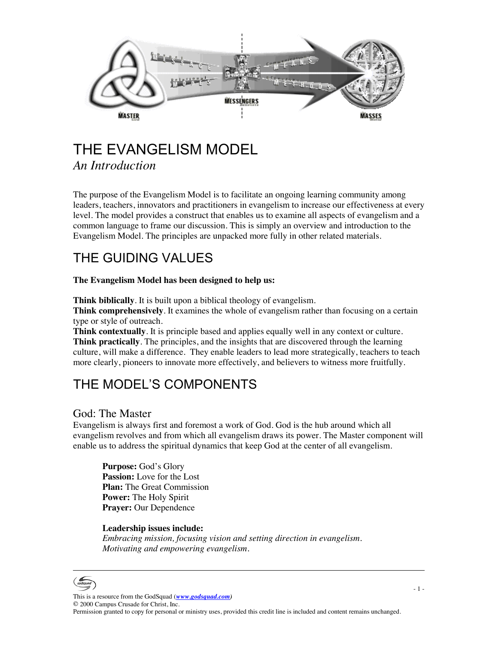

## THE EVANGELISM MODEL *An Introduction*

The purpose of the Evangelism Model is to facilitate an ongoing learning community among leaders, teachers, innovators and practitioners in evangelism to increase our effectiveness at every level. The model provides a construct that enables us to examine all aspects of evangelism and a common language to frame our discussion. This is simply an overview and introduction to the Evangelism Model. The principles are unpacked more fully in other related materials.

# THE GUIDING VALUES

#### **The Evangelism Model has been designed to help us:**

**Think biblically**. It is built upon a biblical theology of evangelism.

**Think comprehensively**. It examines the whole of evangelism rather than focusing on a certain type or style of outreach.

**Think contextually**. It is principle based and applies equally well in any context or culture. **Think practically**. The principles, and the insights that are discovered through the learning culture, will make a difference. They enable leaders to lead more strategically, teachers to teach more clearly, pioneers to innovate more effectively, and believers to witness more fruitfully.

## THE MODEL'S COMPONENTS

## God: The Master

Evangelism is always first and foremost a work of God. God is the hub around which all evangelism revolves and from which all evangelism draws its power. The Master component will enable us to address the spiritual dynamics that keep God at the center of all evangelism.

**Purpose:** God's Glory **Passion:** Love for the Lost **Plan:** The Great Commission **Power:** The Holy Spirit **Prayer:** Our Dependence

#### **Leadership issues include:**

*Embracing mission, focusing vision and setting direction in evangelism. Motivating and empowering evangelism.*

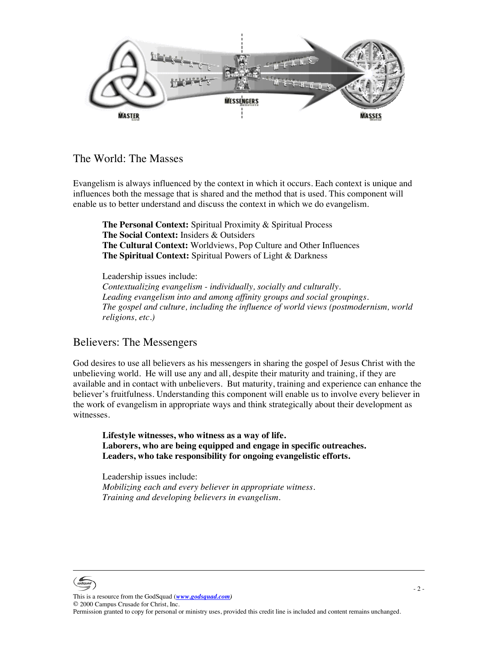

## The World: The Masses

Evangelism is always influenced by the context in which it occurs. Each context is unique and influences both the message that is shared and the method that is used. This component will enable us to better understand and discuss the context in which we do evangelism.

**The Personal Context:** Spiritual Proximity & Spiritual Process **The Social Context:** Insiders & Outsiders **The Cultural Context:** Worldviews, Pop Culture and Other Influences **The Spiritual Context:** Spiritual Powers of Light & Darkness

Leadership issues include: *Contextualizing evangelism - individually, socially and culturally. Leading evangelism into and among affinity groups and social groupings. The gospel and culture, including the influence of world views (postmodernism, world religions, etc.)*

## Believers: The Messengers

God desires to use all believers as his messengers in sharing the gospel of Jesus Christ with the unbelieving world. He will use any and all, despite their maturity and training, if they are available and in contact with unbelievers. But maturity, training and experience can enhance the believer's fruitfulness. Understanding this component will enable us to involve every believer in the work of evangelism in appropriate ways and think strategically about their development as witnesses.

**Lifestyle witnesses, who witness as a way of life. Laborers, who are being equipped and engage in specific outreaches. Leaders, who take responsibility for ongoing evangelistic efforts.**

Leadership issues include: *Mobilizing each and every believer in appropriate witness. Training and developing believers in evangelism.* 

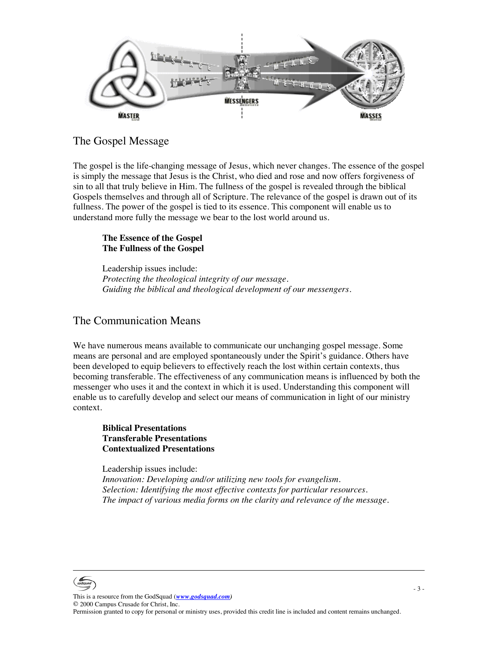

#### The Gospel Message

The gospel is the life-changing message of Jesus, which never changes. The essence of the gospel is simply the message that Jesus is the Christ, who died and rose and now offers forgiveness of sin to all that truly believe in Him. The fullness of the gospel is revealed through the biblical Gospels themselves and through all of Scripture. The relevance of the gospel is drawn out of its fullness. The power of the gospel is tied to its essence. This component will enable us to understand more fully the message we bear to the lost world around us.

#### **The Essence of the Gospel The Fullness of the Gospel**

Leadership issues include: *Protecting the theological integrity of our message. Guiding the biblical and theological development of our messengers.* 

## The Communication Means

We have numerous means available to communicate our unchanging gospel message. Some means are personal and are employed spontaneously under the Spirit's guidance. Others have been developed to equip believers to effectively reach the lost within certain contexts, thus becoming transferable. The effectiveness of any communication means is influenced by both the messenger who uses it and the context in which it is used. Understanding this component will enable us to carefully develop and select our means of communication in light of our ministry context.

#### **Biblical Presentations Transferable Presentations Contextualized Presentations**

Leadership issues include: *Innovation: Developing and/or utilizing new tools for evangelism. Selection: Identifying the most effective contexts for particular resources. The impact of various media forms on the clarity and relevance of the message.*